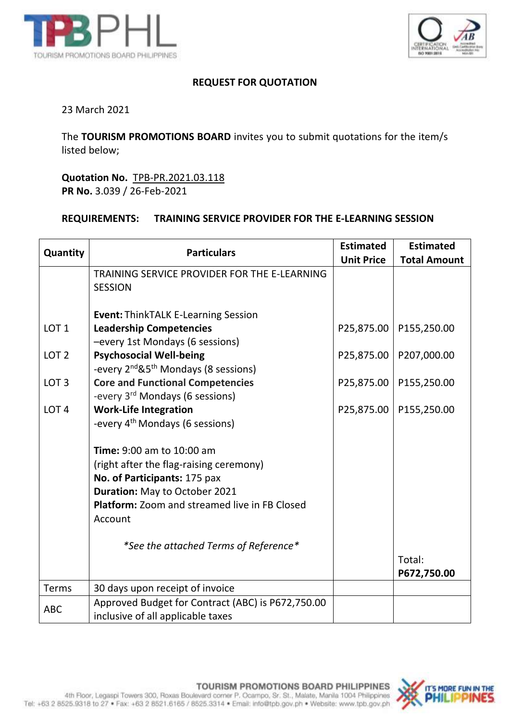



## **REQUEST FOR QUOTATION**

## 23 March 2021

The **TOURISM PROMOTIONS BOARD** invites you to submit quotations for the item/s listed below;

**Quotation No.** TPB-PR.2021.03.118 **PR No.** 3.039 / 26-Feb-2021

## **REQUIREMENTS: TRAINING SERVICE PROVIDER FOR THE E-LEARNING SESSION**

| Quantity         | <b>Particulars</b>                                                                     | <b>Estimated</b>  | <b>Estimated</b>    |
|------------------|----------------------------------------------------------------------------------------|-------------------|---------------------|
|                  |                                                                                        | <b>Unit Price</b> | <b>Total Amount</b> |
|                  | TRAINING SERVICE PROVIDER FOR THE E-LEARNING                                           |                   |                     |
|                  | <b>SESSION</b>                                                                         |                   |                     |
|                  | <b>Event: ThinkTALK E-Learning Session</b>                                             |                   |                     |
| LOT <sub>1</sub> | <b>Leadership Competencies</b>                                                         | P25,875.00        | P155,250.00         |
|                  | -every 1st Mondays (6 sessions)                                                        |                   |                     |
| LOT <sub>2</sub> | <b>Psychosocial Well-being</b>                                                         | P25,875.00        | P207,000.00         |
|                  | -every 2 <sup>nd</sup> &5 <sup>th</sup> Mondays (8 sessions)                           |                   |                     |
| LOT <sub>3</sub> | <b>Core and Functional Competencies</b><br>-every 3 <sup>rd</sup> Mondays (6 sessions) | P25,875.00        | P155,250.00         |
| LOT <sub>4</sub> | <b>Work-Life Integration</b>                                                           | P25,875.00        | P155,250.00         |
|                  | -every 4 <sup>th</sup> Mondays (6 sessions)                                            |                   |                     |
|                  |                                                                                        |                   |                     |
|                  | <b>Time: 9:00 am to 10:00 am</b>                                                       |                   |                     |
|                  | (right after the flag-raising ceremony)                                                |                   |                     |
|                  | No. of Participants: 175 pax                                                           |                   |                     |
|                  | Duration: May to October 2021                                                          |                   |                     |
|                  | <b>Platform:</b> Zoom and streamed live in FB Closed<br>Account                        |                   |                     |
|                  |                                                                                        |                   |                     |
|                  | *See the attached Terms of Reference*                                                  |                   |                     |
|                  |                                                                                        |                   | Total:              |
|                  |                                                                                        |                   | P672,750.00         |
| <b>Terms</b>     | 30 days upon receipt of invoice                                                        |                   |                     |
| <b>ABC</b>       | Approved Budget for Contract (ABC) is P672,750.00                                      |                   |                     |
|                  | inclusive of all applicable taxes                                                      |                   |                     |